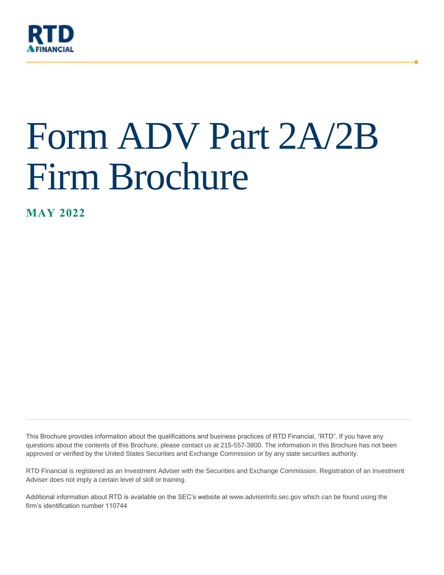

## Form ADV Part 2A/2B Firm Brochure

**MAY 2022**

This Brochure provides information about the qualifications and business practices of RTD Financial, "RTD". If you have any questions about the contents of this Brochure, please contact us at 215-557-3800. The information in this Brochure has not been approved or verified by the United States Securities and Exchange Commission or by any state securities authority.

RTD Financial is registered as an Investment Adviser with the Securities and Exchange Commission. Registration of an Investment Adviser does not imply a certain level of skill or training.

Additional information about RTD is available on the SEC's website at [www.adviserinfo.sec.gov w](http://www.adviserinfo.sec.gov/)hich can be found using the firm's identification number 110744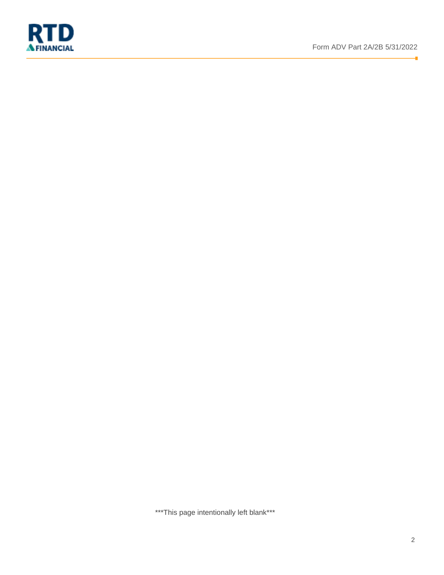

\*\*\*This page intentionally left blank\*\*\*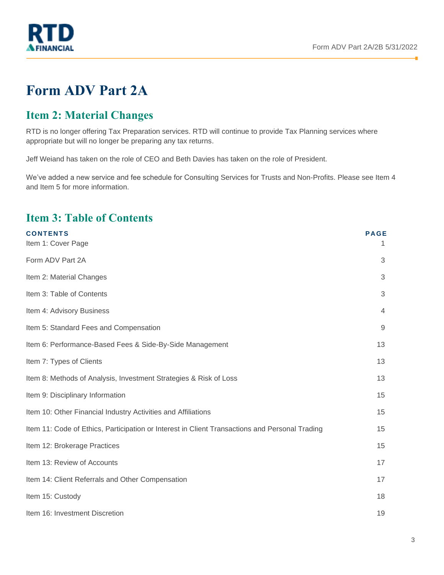

÷.

## **Form ADV Part 2A**

## **Item 2: Material Changes**

RTD is no longer offering Tax Preparation services. RTD will continue to provide Tax Planning services where appropriate but will no longer be preparing any tax returns.

Jeff Weiand has taken on the role of CEO and Beth Davies has taken on the role of President.

We've added a new service and fee schedule for Consulting Services for Trusts and Non-Profits. Please see Item 4 and Item 5 for more information.

## **Item 3: Table of Contents**

| <b>CONTENTS</b><br>Item 1: Cover Page                                                          | <b>PAGE</b><br>1 |
|------------------------------------------------------------------------------------------------|------------------|
| Form ADV Part 2A                                                                               | 3                |
| Item 2: Material Changes                                                                       | 3                |
| Item 3: Table of Contents                                                                      | 3                |
| Item 4: Advisory Business                                                                      | $\overline{4}$   |
| Item 5: Standard Fees and Compensation                                                         | 9                |
| Item 6: Performance-Based Fees & Side-By-Side Management                                       | 13               |
| Item 7: Types of Clients                                                                       | 13               |
| Item 8: Methods of Analysis, Investment Strategies & Risk of Loss                              | 13               |
| Item 9: Disciplinary Information                                                               | 15               |
| Item 10: Other Financial Industry Activities and Affiliations                                  | 15               |
| Item 11: Code of Ethics, Participation or Interest in Client Transactions and Personal Trading | 15               |
| Item 12: Brokerage Practices                                                                   | 15               |
| Item 13: Review of Accounts                                                                    | 17               |
| Item 14: Client Referrals and Other Compensation                                               | 17               |
| Item 15: Custody                                                                               | 18               |
| Item 16: Investment Discretion                                                                 | 19               |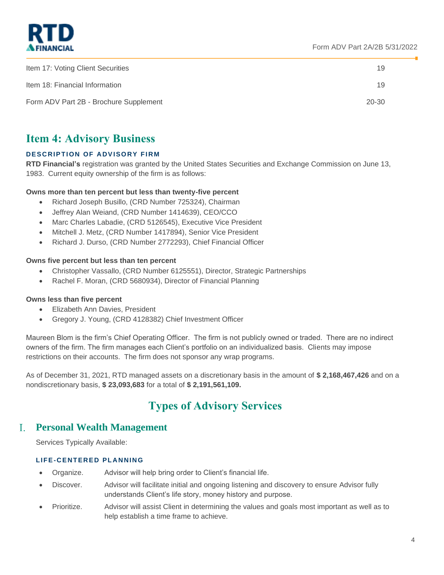

| Item 17: Voting Client Securities      | 19        |
|----------------------------------------|-----------|
| Item 18: Financial Information         | 19        |
| Form ADV Part 2B - Brochure Supplement | $20 - 30$ |

## **Item 4: Advisory Business**

## **DESCRIPTION OF ADVISORY FIRM**

**RTD Financial's** registration was granted by the United States Securities and Exchange Commission on June 13, 1983. Current equity ownership of the firm is as follows:

## **Owns more than ten percent but less than twenty-five percent**

- Richard Joseph Busillo, (CRD Number 725324), Chairman
- Jeffrey Alan Weiand, (CRD Number 1414639), CEO/CCO
- Marc Charles Labadie, (CRD 5126545), Executive Vice President
- Mitchell J. Metz, (CRD Number 1417894), Senior Vice President
- Richard J. Durso, (CRD Number 2772293), Chief Financial Officer

### **Owns five percent but less than ten percent**

- Christopher Vassallo, (CRD Number 6125551), Director, Strategic Partnerships
- Rachel F. Moran, (CRD 5680934), Director of Financial Planning

## **Owns less than five percent**

- Elizabeth Ann Davies, President
- Gregory J. Young, (CRD 4128382) Chief Investment Officer

Maureen Blom is the firm's Chief Operating Officer. The firm is not publicly owned or traded. There are no indirect owners of the firm. The firm manages each Client's portfolio on an individualized basis. Clients may impose restrictions on their accounts. The firm does not sponsor any wrap programs.

As of December 31, 2021, RTD managed assets on a discretionary basis in the amount of **\$ 2,168,467,426** and on a nondiscretionary basis, **\$ 23,093,683** for a total of **\$ 2,191,561,109.**

## **Types of Advisory Services**

#### L. **Personal Wealth Management**

Services Typically Available:

#### **LIFE-C ENT ER ED PL A N NIN G**

- Organize. Advisor will help bring order to Client's financial life.
- Discover. Advisor will facilitate initial and ongoing listening and discovery to ensure Advisor fully understands Client's life story, money history and purpose.
- Prioritize. Advisor will assist Client in determining the values and goals most important as well as to help establish a time frame to achieve.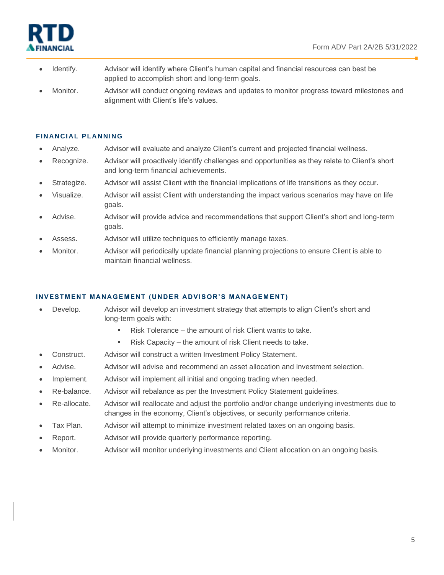



- Identify. Advisor will identify where Client's human capital and financial resources can best be applied to accomplish short and long-term goals.
- Monitor. Advisor will conduct ongoing reviews and updates to monitor progress toward milestones and alignment with Client's life's values.

## **FINANCIAL PLANNING**

- Analyze. Advisor will evaluate and analyze Client's current and projected financial wellness.
- Recognize. Advisor will proactively identify challenges and opportunities as they relate to Client's short and long-term financial achievements.
- Strategize. Advisor will assist Client with the financial implications of life transitions as they occur.
- Visualize. Advisor will assist Client with understanding the impact various scenarios may have on life goals.
- Advise. Advisor will provide advice and recommendations that support Client's short and long-term goals.
- Assess. Advisor will utilize techniques to efficiently manage taxes.
- Monitor. Advisor will periodically update financial planning projections to ensure Client is able to maintain financial wellness.

## **INVESTMENT MANAGEMENT (UNDER ADVISOR'S MANAGEMENT)**

- Develop. Advisor will develop an investment strategy that attempts to align Client's short and long-term goals with:
	- Risk Tolerance the amount of risk Client wants to take.
	- Risk Capacity the amount of risk Client needs to take.
- Construct. Advisor will construct a written Investment Policy Statement.
- Advise. Advisor will advise and recommend an asset allocation and Investment selection.
- Implement. Advisor will implement all initial and ongoing trading when needed.
- Re-balance. Advisor will rebalance as per the Investment Policy Statement guidelines.
- Re-allocate. Advisor will reallocate and adjust the portfolio and/or change underlying investments due to changes in the economy, Client's objectives, or security performance criteria.
- Tax Plan. Advisor will attempt to minimize investment related taxes on an ongoing basis.
- Report. Advisor will provide quarterly performance reporting.
- Monitor. Advisor will monitor underlying investments and Client allocation on an ongoing basis.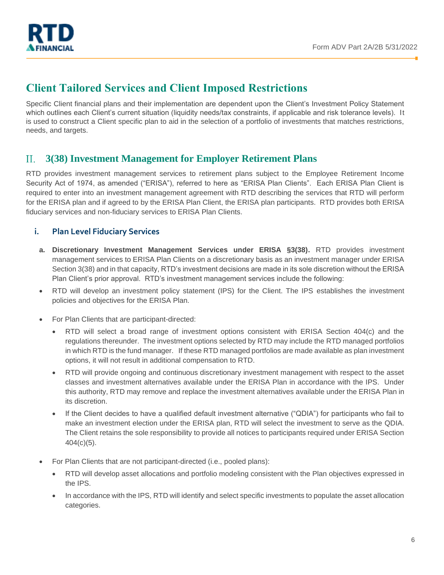## **Client Tailored Services and Client Imposed Restrictions**

Specific Client financial plans and their implementation are dependent upon the Client's Investment Policy Statement which outlines each Client's current situation (liquidity needs/tax constraints, if applicable and risk tolerance levels). It is used to construct a Client specific plan to aid in the selection of a portfolio of investments that matches restrictions, needs, and targets.

#### II. **3(38) Investment Management for Employer Retirement Plans**

RTD provides investment management services to retirement plans subject to the Employee Retirement Income Security Act of 1974, as amended ("ERISA"), referred to here as "ERISA Plan Clients". Each ERISA Plan Client is required to enter into an investment management agreement with RTD describing the services that RTD will perform for the ERISA plan and if agreed to by the ERISA Plan Client, the ERISA plan participants. RTD provides both ERISA fiduciary services and non-fiduciary services to ERISA Plan Clients.

## **i. Plan Level Fiduciary Services**

- **a. Discretionary Investment Management Services under ERISA §3(38).** RTD provides investment management services to ERISA Plan Clients on a discretionary basis as an investment manager under ERISA Section 3(38) and in that capacity, RTD's investment decisions are made in its sole discretion without the ERISA Plan Client's prior approval. RTD's investment management services include the following:
- RTD will develop an investment policy statement (IPS) for the Client. The IPS establishes the investment policies and objectives for the ERISA Plan.
- For Plan Clients that are participant-directed:
	- RTD will select a broad range of investment options consistent with ERISA Section 404(c) and the regulations thereunder. The investment options selected by RTD may include the RTD managed portfolios in which RTD is the fund manager. If these RTD managed portfolios are made available as plan investment options, it will not result in additional compensation to RTD.
	- RTD will provide ongoing and continuous discretionary investment management with respect to the asset classes and investment alternatives available under the ERISA Plan in accordance with the IPS. Under this authority, RTD may remove and replace the investment alternatives available under the ERISA Plan in its discretion.
	- If the Client decides to have a qualified default investment alternative ("QDIA") for participants who fail to make an investment election under the ERISA plan, RTD will select the investment to serve as the QDIA. The Client retains the sole responsibility to provide all notices to participants required under ERISA Section 404(c)(5).
- For Plan Clients that are not participant-directed (i.e., pooled plans):
	- RTD will develop asset allocations and portfolio modeling consistent with the Plan objectives expressed in the IPS.
	- In accordance with the IPS, RTD will identify and select specific investments to populate the asset allocation categories.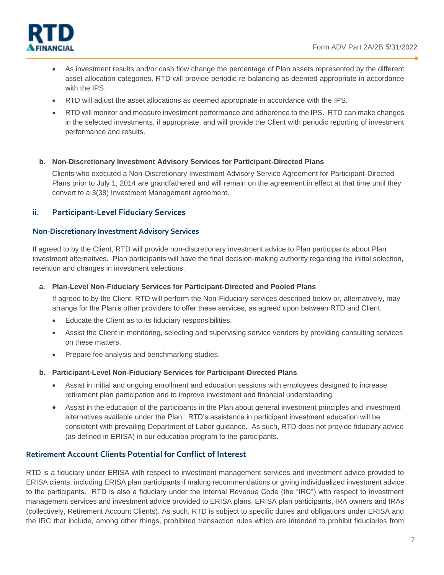

- As investment results and/or cash flow change the percentage of Plan assets represented by the different asset allocation categories, RTD will provide periodic re-balancing as deemed appropriate in accordance with the IPS.
- RTD will adjust the asset allocations as deemed appropriate in accordance with the IPS.
- RTD will monitor and measure investment performance and adherence to the IPS. RTD can make changes in the selected investments, if appropriate, and will provide the Client with periodic reporting of investment performance and results.

## **b. Non-Discretionary Investment Advisory Services for Participant-Directed Plans**

Clients who executed a Non-Discretionary Investment Advisory Service Agreement for Participant-Directed Plans prior to July 1, 2014 are grandfathered and will remain on the agreement in effect at that time until they convert to a 3(38) Investment Management agreement.

## **ii. Participant-Level Fiduciary Services**

## **Non-Discretionary Investment Advisory Services**

If agreed to by the Client, RTD will provide non-discretionary investment advice to Plan participants about Plan investment alternatives. Plan participants will have the final decision-making authority regarding the initial selection, retention and changes in investment selections.

## **a. Plan-Level Non-Fiduciary Services for Participant-Directed and Pooled Plans**

If agreed to by the Client, RTD will perform the Non-Fiduciary services described below or, alternatively, may arrange for the Plan's other providers to offer these services, as agreed upon between RTD and Client.

- Educate the Client as to its fiduciary responsibilities.
- Assist the Client in monitoring, selecting and supervising service vendors by providing consulting services on these matters.
- Prepare fee analysis and benchmarking studies.

## **b. Participant-Level Non-Fiduciary Services for Participant-Directed Plans**

- Assist in initial and ongoing enrollment and education sessions with employees designed to increase retirement plan participation and to improve investment and financial understanding.
- Assist in the education of the participants in the Plan about general investment principles and investment alternatives available under the Plan. RTD's assistance in participant investment education will be consistent with prevailing Department of Labor guidance. As such, RTD does not provide fiduciary advice (as defined in ERISA) in our education program to the participants.

## **Retirement Account Clients Potential for Conflict of Interest**

RTD is a fiduciary under ERISA with respect to investment management services and investment advice provided to ERISA clients, including ERISA plan participants if making recommendations or giving individualized investment advice to the participants. RTD is also a fiduciary under the Internal Revenue Code (the "IRC") with respect to investment management services and investment advice provided to ERISA plans, ERISA plan participants, IRA owners and IRAs (collectively, Retirement Account Clients). As such, RTD is subject to specific duties and obligations under ERISA and the IRC that include, among other things, prohibited transaction rules which are intended to prohibit fiduciaries from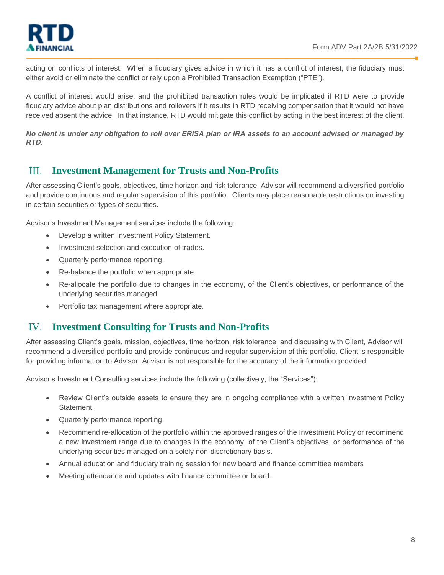acting on conflicts of interest. When a fiduciary gives advice in which it has a conflict of interest, the fiduciary must either avoid or eliminate the conflict or rely upon a Prohibited Transaction Exemption ("PTE").

A conflict of interest would arise, and the prohibited transaction rules would be implicated if RTD were to provide fiduciary advice about plan distributions and rollovers if it results in RTD receiving compensation that it would not have received absent the advice. In that instance, RTD would mitigate this conflict by acting in the best interest of the client.

*No client is under any obligation to roll over ERISA plan or IRA assets to an account advised or managed by RTD.*

#### $III.$ **Investment Management for Trusts and Non-Profits**

After assessing Client's goals, objectives, time horizon and risk tolerance, Advisor will recommend a diversified portfolio and provide continuous and regular supervision of this portfolio. Clients may place reasonable restrictions on investing in certain securities or types of securities.

Advisor's Investment Management services include the following:

- Develop a written Investment Policy Statement.
- Investment selection and execution of trades.
- Quarterly performance reporting.
- Re-balance the portfolio when appropriate.
- Re-allocate the portfolio due to changes in the economy, of the Client's objectives, or performance of the underlying securities managed.
- Portfolio tax management where appropriate.

#### **Investment Consulting for Trusts and Non-Profits** IV.

After assessing Client's goals, mission, objectives, time horizon, risk tolerance, and discussing with Client, Advisor will recommend a diversified portfolio and provide continuous and regular supervision of this portfolio. Client is responsible for providing information to Advisor. Advisor is not responsible for the accuracy of the information provided.

Advisor's Investment Consulting services include the following (collectively, the "Services"):

- Review Client's outside assets to ensure they are in ongoing compliance with a written Investment Policy Statement.
- Quarterly performance reporting.
- Recommend re-allocation of the portfolio within the approved ranges of the Investment Policy or recommend a new investment range due to changes in the economy, of the Client's objectives, or performance of the underlying securities managed on a solely non-discretionary basis.
- Annual education and fiduciary training session for new board and finance committee members
- Meeting attendance and updates with finance committee or board.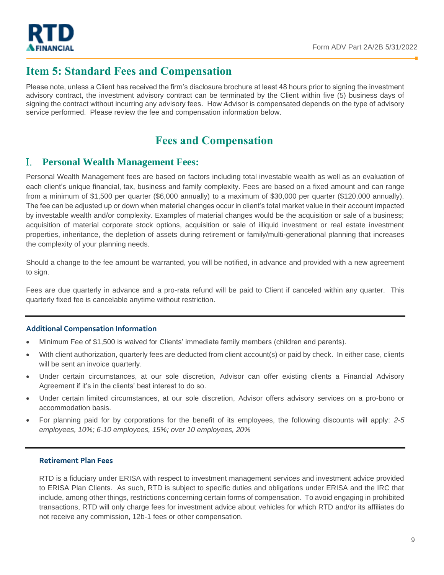

## **Item 5: Standard Fees and Compensation**

Please note, unless a Client has received the firm's disclosure brochure at least 48 hours prior to signing the investment advisory contract, the investment advisory contract can be terminated by the Client within five (5) business days of signing the contract without incurring any advisory fees. How Advisor is compensated depends on the type of advisory service performed. Please review the fee and compensation information below.

## **Fees and Compensation**

#### L **Personal Wealth Management Fees:**

Personal Wealth Management fees are based on factors including total investable wealth as well as an evaluation of each client's unique financial, tax, business and family complexity. Fees are based on a fixed amount and can range from a minimum of \$1,500 per quarter (\$6,000 annually) to a maximum of \$30,000 per quarter (\$120,000 annually). The fee can be adjusted up or down when material changes occur in client's total market value in their account impacted by investable wealth and/or complexity. Examples of material changes would be the acquisition or sale of a business; acquisition of material corporate stock options, acquisition or sale of illiquid investment or real estate investment properties, inheritance, the depletion of assets during retirement or family/multi-generational planning that increases the complexity of your planning needs.

Should a change to the fee amount be warranted, you will be notified, in advance and provided with a new agreement to sign.

Fees are due quarterly in advance and a pro-rata refund will be paid to Client if canceled within any quarter. This quarterly fixed fee is cancelable anytime without restriction.

## **Additional Compensation Information**

- Minimum Fee of \$1,500 is waived for Clients' immediate family members (children and parents).
- With client authorization, quarterly fees are deducted from client account(s) or paid by check. In either case, clients will be sent an invoice quarterly.
- Under certain circumstances, at our sole discretion, Advisor can offer existing clients a Financial Advisory Agreement if it's in the clients' best interest to do so.
- Under certain limited circumstances, at our sole discretion, Advisor offers advisory services on a pro-bono or accommodation basis.
- For planning paid for by corporations for the benefit of its employees, the following discounts will apply: *2-5 employees, 10%; 6-10 employees, 15%; over 10 employees, 20%*

## **Retirement Plan Fees**

RTD is a fiduciary under ERISA with respect to investment management services and investment advice provided to ERISA Plan Clients. As such, RTD is subject to specific duties and obligations under ERISA and the IRC that include, among other things, restrictions concerning certain forms of compensation. To avoid engaging in prohibited transactions, RTD will only charge fees for investment advice about vehicles for which RTD and/or its affiliates do not receive any commission, 12b-1 fees or other compensation.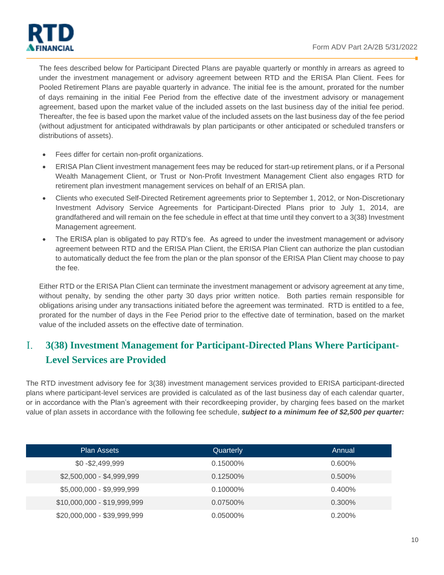The fees described below for Participant Directed Plans are payable quarterly or monthly in arrears as agreed to under the investment management or advisory agreement between RTD and the ERISA Plan Client. Fees for Pooled Retirement Plans are payable quarterly in advance. The initial fee is the amount, prorated for the number of days remaining in the initial Fee Period from the effective date of the investment advisory or management agreement, based upon the market value of the included assets on the last business day of the initial fee period. Thereafter, the fee is based upon the market value of the included assets on the last business day of the fee period (without adjustment for anticipated withdrawals by plan participants or other anticipated or scheduled transfers or distributions of assets).

- Fees differ for certain non-profit organizations.
- ERISA Plan Client investment management fees may be reduced for start-up retirement plans, or if a Personal Wealth Management Client, or Trust or Non-Profit Investment Management Client also engages RTD for retirement plan investment management services on behalf of an ERISA plan.
- Clients who executed Self-Directed Retirement agreements prior to September 1, 2012, or Non-Discretionary Investment Advisory Service Agreements for Participant-Directed Plans prior to July 1, 2014, are grandfathered and will remain on the fee schedule in effect at that time until they convert to a 3(38) Investment Management agreement.
- The ERISA plan is obligated to pay RTD's fee. As agreed to under the investment management or advisory agreement between RTD and the ERISA Plan Client, the ERISA Plan Client can authorize the plan custodian to automatically deduct the fee from the plan or the plan sponsor of the ERISA Plan Client may choose to pay the fee.

Either RTD or the ERISA Plan Client can terminate the investment management or advisory agreement at any time, without penalty, by sending the other party 30 days prior written notice. Both parties remain responsible for obligations arising under any transactions initiated before the agreement was terminated. RTD is entitled to a fee, prorated for the number of days in the Fee Period prior to the effective date of termination, based on the market value of the included assets on the effective date of termination.

#### **3(38) Investment Management for Participant-Directed Plans Where Participant-**L **Level Services are Provided**

The RTD investment advisory fee for 3(38) investment management services provided to ERISA participant-directed plans where participant-level services are provided is calculated as of the last business day of each calendar quarter, or in accordance with the Plan's agreement with their recordkeeping provider, by charging fees based on the market value of plan assets in accordance with the following fee schedule, *subject to a minimum fee of \$2,500 per quarter:*

| <b>Plan Assets</b>          | Quarterly   | Annual    |
|-----------------------------|-------------|-----------|
| $$0 - $2,499,999$           | 0.15000%    | $0.600\%$ |
| $$2,500,000 - $4,999,999$   | $0.12500\%$ | $0.500\%$ |
| \$5,000,000 - \$9,999,999   | $0.10000\%$ | $0.400\%$ |
| \$10,000,000 - \$19,999,999 | 0.07500%    | 0.300%    |
| \$20,000,000 - \$39,999,999 | $0.05000\%$ | 0.200%    |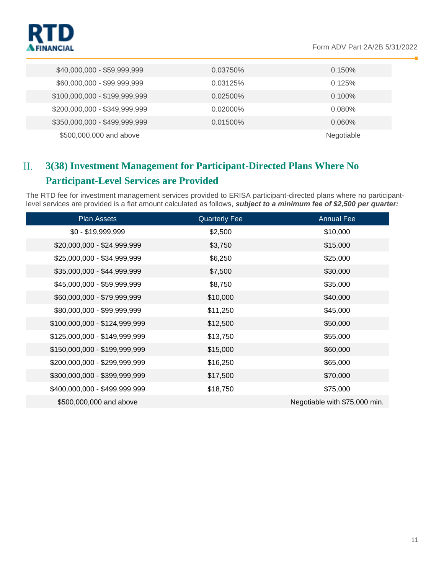

| \$40,000,000 - \$59,999,999   | 0.03750%    | 0.150%     |
|-------------------------------|-------------|------------|
| \$60,000,000 - \$99,999,999   | 0.03125%    | 0.125%     |
| \$100,000,000 - \$199,999,999 | $0.02500\%$ | $0.100\%$  |
| \$200,000,000 - \$349,999,999 | $0.02000\%$ | $0.080\%$  |
| \$350,000,000 - \$499,999,999 | $0.01500\%$ | $0.060\%$  |
| \$500,000,000 and above       |             | Negotiable |

### **3(38) Investment Management for Participant-Directed Plans Where No**  II. **Participant-Level Services are Provided**

The RTD fee for investment management services provided to ERISA participant-directed plans where no participantlevel services are provided is a flat amount calculated as follows, *subject to a minimum fee of \$2,500 per quarter:*

| <b>Plan Assets</b>            | <b>Quarterly Fee</b> | <b>Annual Fee</b>             |
|-------------------------------|----------------------|-------------------------------|
| $$0 - $19,999,999$            | \$2,500              | \$10,000                      |
| \$20,000,000 - \$24,999,999   | \$3,750              | \$15,000                      |
| \$25,000,000 - \$34,999,999   | \$6,250              | \$25,000                      |
| \$35,000,000 - \$44,999,999   | \$7,500              | \$30,000                      |
| \$45,000,000 - \$59,999,999   | \$8,750              | \$35,000                      |
| \$60,000,000 - \$79,999,999   | \$10,000             | \$40,000                      |
| \$80,000,000 - \$99,999,999   | \$11,250             | \$45,000                      |
| \$100,000,000 - \$124,999,999 | \$12,500             | \$50,000                      |
| \$125,000,000 - \$149,999,999 | \$13,750             | \$55,000                      |
| \$150,000,000 - \$199,999,999 | \$15,000             | \$60,000                      |
| \$200,000,000 - \$299,999,999 | \$16,250             | \$65,000                      |
| \$300,000,000 - \$399,999,999 | \$17,500             | \$70,000                      |
| \$400,000,000 - \$499.999.999 | \$18,750             | \$75,000                      |
| \$500,000,000 and above       |                      | Negotiable with \$75,000 min. |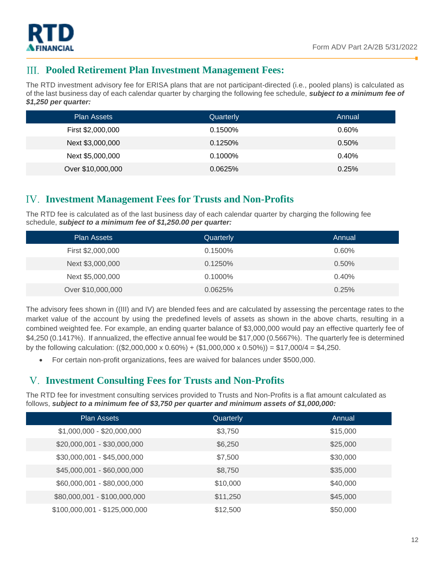## **Pooled Retirement Plan Investment Management Fees:**

The RTD investment advisory fee for ERISA plans that are not participant-directed (i.e., pooled plans) is calculated as of the last business day of each calendar quarter by charging the following fee schedule, *subject to a minimum fee of \$1,250 per quarter:*

| <b>Plan Assets</b> | Quarterly | Annual |
|--------------------|-----------|--------|
| First \$2,000,000  | 0.1500%   | 0.60%  |
| Next \$3,000,000   | 0.1250%   | 0.50%  |
| Next \$5,000,000   | 0.1000%   | 0.40%  |
| Over \$10,000,000  | 0.0625%   | 0.25%  |

## **Investment Management Fees for Trusts and Non-Profits**

The RTD fee is calculated as of the last business day of each calendar quarter by charging the following fee schedule, *subject to a minimum fee of \$1,250.00 per quarter:*

| <b>Plan Assets</b> | Quarterly  | Annual |
|--------------------|------------|--------|
| First \$2,000,000  | $0.1500\%$ | 0.60%  |
| Next \$3,000,000   | 0.1250%    | 0.50%  |
| Next \$5,000,000   | $0.1000\%$ | 0.40%  |
| Over \$10,000,000  | 0.0625%    | 0.25%  |

The advisory fees shown in ((III) and IV) are blended fees and are calculated by assessing the percentage rates to the market value of the account by using the predefined levels of assets as shown in the above charts, resulting in a combined weighted fee. For example, an ending quarter balance of \$3,000,000 would pay an effective quarterly fee of \$4,250 (0.1417%). If annualized, the effective annual fee would be \$17,000 (0.5667%). The quarterly fee is determined by the following calculation:  $((\$2,000,000 \times 0.60%) + (\$1,000,000 \times 0.50%) = \$17,000/4 = \$4,250$ .

• For certain non-profit organizations, fees are waived for balances under \$500,000.

## **Investment Consulting Fees for Trusts and Non-Profits**

The RTD fee for investment consulting services provided to Trusts and Non-Profits is a flat amount calculated as follows, *subject to a minimum fee of \$3,750 per quarter and minimum assets of \$1,000,000:*

| <b>Plan Assets</b>            | Quarterly | Annual   |
|-------------------------------|-----------|----------|
| $$1,000,000 - $20,000,000$    | \$3,750   | \$15,000 |
| \$20,000,001 - \$30,000,000   | \$6,250   | \$25,000 |
| \$30,000,001 - \$45,000,000   | \$7,500   | \$30,000 |
| \$45,000,001 - \$60,000,000   | \$8,750   | \$35,000 |
| \$60,000,001 - \$80,000,000   | \$10,000  | \$40,000 |
| \$80,000,001 - \$100,000,000  | \$11,250  | \$45,000 |
| \$100,000,001 - \$125,000,000 | \$12,500  | \$50,000 |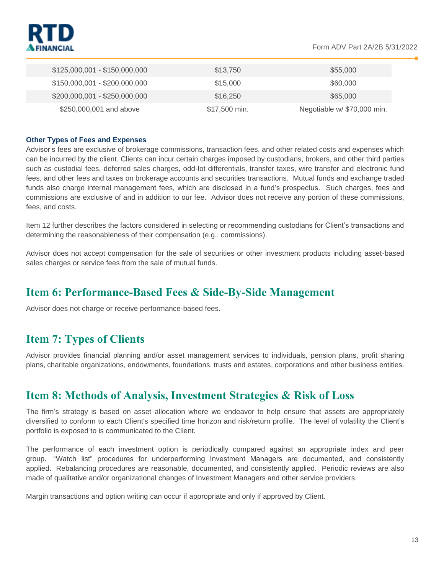

| \$125,000,001 - \$150,000,000 | \$13,750      | \$55,000                    |
|-------------------------------|---------------|-----------------------------|
|                               |               |                             |
| \$150,000,001 - \$200,000,000 | \$15,000      | \$60,000                    |
| \$200,000,001 - \$250,000,000 | \$16,250      | \$65,000                    |
|                               |               |                             |
| \$250,000,001 and above       | \$17,500 min. | Negotiable w/ \$70,000 min. |

## **Other Types of Fees and Expenses**

Advisor's fees are exclusive of brokerage commissions, transaction fees, and other related costs and expenses which can be incurred by the client. Clients can incur certain charges imposed by custodians, brokers, and other third parties such as custodial fees, deferred sales charges, odd-lot differentials, transfer taxes, wire transfer and electronic fund fees, and other fees and taxes on brokerage accounts and securities transactions. Mutual funds and exchange traded funds also charge internal management fees, which are disclosed in a fund's prospectus. Such charges, fees and commissions are exclusive of and in addition to our fee. Advisor does not receive any portion of these commissions, fees, and costs.

Item 12 further describes the factors considered in selecting or recommending custodians for Client's transactions and determining the reasonableness of their compensation (e.g., commissions).

Advisor does not accept compensation for the sale of securities or other investment products including asset-based sales charges or service fees from the sale of mutual funds.

## **Item 6: Performance-Based Fees & Side-By-Side Management**

Advisor does not charge or receive performance-based fees.

## **Item 7: Types of Clients**

Advisor provides financial planning and/or asset management services to individuals, pension plans, profit sharing plans, charitable organizations, endowments, foundations, trusts and estates, corporations and other business entities.

## **Item 8: Methods of Analysis, Investment Strategies & Risk of Loss**

The firm's strategy is based on asset allocation where we endeavor to help ensure that assets are appropriately diversified to conform to each Client's specified time horizon and risk/return profile. The level of volatility the Client's portfolio is exposed to is communicated to the Client.

The performance of each investment option is periodically compared against an appropriate index and peer group. "Watch list" procedures for underperforming Investment Managers are documented, and consistently applied. Rebalancing procedures are reasonable, documented, and consistently applied. Periodic reviews are also made of qualitative and/or organizational changes of Investment Managers and other service providers.

Margin transactions and option writing can occur if appropriate and only if approved by Client.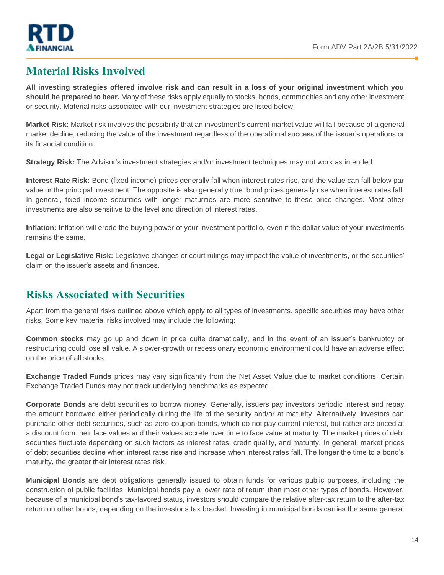## **Material Risks Involved**

**All investing strategies offered involve risk and can result in a loss of your original investment which you should be prepared to bear.** Many of these risks apply equally to stocks, bonds, commodities and any other investment or security. Material risks associated with our investment strategies are listed below.

**Market Risk:** Market risk involves the possibility that an investment's current market value will fall because of a general market decline, reducing the value of the investment regardless of the operational success of the issuer's operations or its financial condition.

**Strategy Risk:** The Advisor's investment strategies and/or investment techniques may not work as intended.

**Interest Rate Risk:** Bond (fixed income) prices generally fall when interest rates rise, and the value can fall below par value or the principal investment. The opposite is also generally true: bond prices generally rise when interest rates fall. In general, fixed income securities with longer maturities are more sensitive to these price changes. Most other investments are also sensitive to the level and direction of interest rates.

**Inflation:** Inflation will erode the buying power of your investment portfolio, even if the dollar value of your investments remains the same.

**Legal or Legislative Risk:** Legislative changes or court rulings may impact the value of investments, or the securities' claim on the issuer's assets and finances.

## **Risks Associated with Securities**

Apart from the general risks outlined above which apply to all types of investments, specific securities may have other risks. Some key material risks involved may include the following:

**Common stocks** may go up and down in price quite dramatically, and in the event of an issuer's bankruptcy or restructuring could lose all value. A slower-growth or recessionary economic environment could have an adverse effect on the price of all stocks.

**Exchange Traded Funds** prices may vary significantly from the Net Asset Value due to market conditions. Certain Exchange Traded Funds may not track underlying benchmarks as expected.

**Corporate Bonds** are debt securities to borrow money. Generally, issuers pay investors periodic interest and repay the amount borrowed either periodically during the life of the security and/or at maturity. Alternatively, investors can purchase other debt securities, such as zero-coupon bonds, which do not pay current interest, but rather are priced at a discount from their face values and their values accrete over time to face value at maturity. The market prices of debt securities fluctuate depending on such factors as interest rates, credit quality, and maturity. In general, market prices of debt securities decline when interest rates rise and increase when interest rates fall. The longer the time to a bond's maturity, the greater their interest rates risk.

**Municipal Bonds** are debt obligations generally issued to obtain funds for various public purposes, including the construction of public facilities. Municipal bonds pay a lower rate of return than most other types of bonds. However, because of a municipal bond's tax-favored status, investors should compare the relative after-tax return to the after-tax return on other bonds, depending on the investor's tax bracket. Investing in municipal bonds carries the same general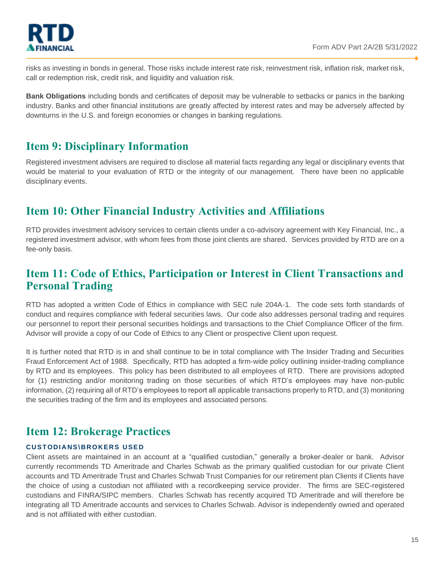

risks as investing in bonds in general. Those risks include interest rate risk, reinvestment risk, inflation risk, market risk, call or redemption risk, credit risk, and liquidity and valuation risk.

**Bank Obligations** including bonds and certificates of deposit may be vulnerable to setbacks or panics in the banking industry. Banks and other financial institutions are greatly affected by interest rates and may be adversely affected by downturns in the U.S. and foreign economies or changes in banking regulations.

## **Item 9: Disciplinary Information**

Registered investment advisers are required to disclose all material facts regarding any legal or disciplinary events that would be material to your evaluation of RTD or the integrity of our management. There have been no applicable disciplinary events.

## **Item 10: Other Financial Industry Activities and Affiliations**

RTD provides investment advisory services to certain clients under a co-advisory agreement with Key Financial, Inc., a registered investment advisor, with whom fees from those joint clients are shared. Services provided by RTD are on a fee-only basis.

## **Item 11: Code of Ethics, Participation or Interest in Client Transactions and Personal Trading**

RTD has adopted a written Code of Ethics in compliance with SEC rule 204A-1. The code sets forth standards of conduct and requires compliance with federal securities laws. Our code also addresses personal trading and requires our personnel to report their personal securities holdings and transactions to the Chief Compliance Officer of the firm. Advisor will provide a copy of our Code of Ethics to any Client or prospective Client upon request.

It is further noted that RTD is in and shall continue to be in total compliance with The Insider Trading and Securities Fraud Enforcement Act of 1988. Specifically, RTD has adopted a firm-wide policy outlining insider-trading compliance by RTD and its employees. This policy has been distributed to all employees of RTD. There are provisions adopted for (1) restricting and/or monitoring trading on those securities of which RTD's employees may have non-public information, (2) requiring all of RTD's employees to report all applicable transactions properly to RTD, and (3) monitoring the securities trading of the firm and its employees and associated persons.

## **Item 12: Brokerage Practices**

## **CU ST ODI A NS\ BR O KE R S U SE D**

Client assets are maintained in an account at a "qualified custodian," generally a broker-dealer or bank. Advisor currently recommends TD Ameritrade and Charles Schwab as the primary qualified custodian for our private Client accounts and TD Ameritrade Trust and Charles Schwab Trust Companies for our retirement plan Clients if Clients have the choice of using a custodian not affiliated with a recordkeeping service provider. The firms are SEC-registered custodians and FINRA/SIPC members. Charles Schwab has recently acquired TD Ameritrade and will therefore be integrating all TD Ameritrade accounts and services to Charles Schwab. Advisor is independently owned and operated and is not affiliated with either custodian.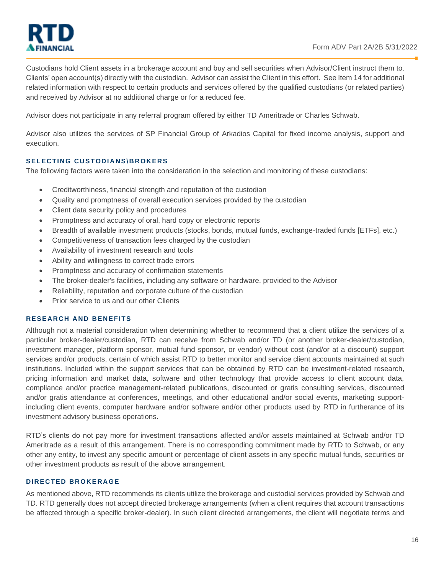Custodians hold Client assets in a brokerage account and buy and sell securities when Advisor/Client instruct them to. Clients' open account(s) directly with the custodian. Advisor can assist the Client in this effort. See Item 14 for additional related information with respect to certain products and services offered by the qualified custodians (or related parties) and received by Advisor at no additional charge or for a reduced fee.

Advisor does not participate in any referral program offered by either TD Ameritrade or Charles Schwab.

Advisor also utilizes the services of SP Financial Group of Arkadios Capital for fixed income analysis, support and execution.

## **SELECTING CUSTODIANS\BROKERS**

The following factors were taken into the consideration in the selection and monitoring of these custodians:

- Creditworthiness, financial strength and reputation of the custodian
- Quality and promptness of overall execution services provided by the custodian
- Client data security policy and procedures
- Promptness and accuracy of oral, hard copy or electronic reports
- Breadth of available investment products (stocks, bonds, mutual funds, exchange-traded funds [ETFs], etc.)
- Competitiveness of transaction fees charged by the custodian
- Availability of investment research and tools
- Ability and willingness to correct trade errors
- Promptness and accuracy of confirmation statements
- The broker-dealer's facilities, including any software or hardware, provided to the Advisor
- Reliability, reputation and corporate culture of the custodian
- Prior service to us and our other Clients

#### **RESEARCH AND BENEFITS**

Although not a material consideration when determining whether to recommend that a client utilize the services of a particular broker-dealer/custodian, RTD can receive from Schwab and/or TD (or another broker-dealer/custodian, investment manager, platform sponsor, mutual fund sponsor, or vendor) without cost (and/or at a discount) support services and/or products, certain of which assist RTD to better monitor and service client accounts maintained at such institutions. Included within the support services that can be obtained by RTD can be investment-related research, pricing information and market data, software and other technology that provide access to client account data, compliance and/or practice management-related publications, discounted or gratis consulting services, discounted and/or gratis attendance at conferences, meetings, and other educational and/or social events, marketing supportincluding client events, computer hardware and/or software and/or other products used by RTD in furtherance of its investment advisory business operations.

RTD's clients do not pay more for investment transactions affected and/or assets maintained at Schwab and/or TD Ameritrade as a result of this arrangement. There is no corresponding commitment made by RTD to Schwab, or any other any entity, to invest any specific amount or percentage of client assets in any specific mutual funds, securities or other investment products as result of the above arrangement.

## **DIRECTED BROKERAGE**

As mentioned above, RTD recommends its clients utilize the brokerage and custodial services provided by Schwab and TD. RTD generally does not accept directed brokerage arrangements (when a client requires that account transactions be affected through a specific broker-dealer). In such client directed arrangements, the client will negotiate terms and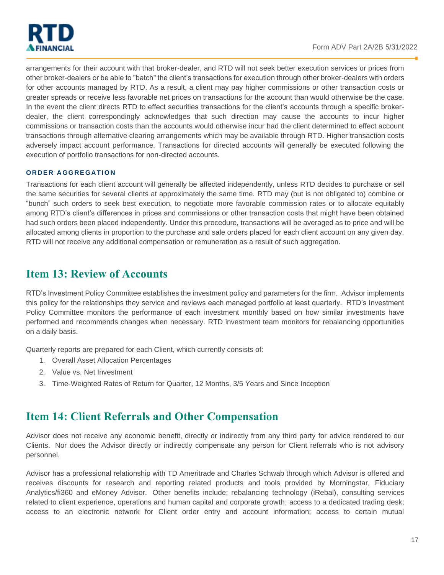

arrangements for their account with that broker-dealer, and RTD will not seek better execution services or prices from other broker-dealers or be able to "batch" the client's transactions for execution through other broker-dealers with orders for other accounts managed by RTD. As a result, a client may pay higher commissions or other transaction costs or greater spreads or receive less favorable net prices on transactions for the account than would otherwise be the case. In the event the client directs RTD to effect securities transactions for the client's accounts through a specific brokerdealer, the client correspondingly acknowledges that such direction may cause the accounts to incur higher commissions or transaction costs than the accounts would otherwise incur had the client determined to effect account transactions through alternative clearing arrangements which may be available through RTD. Higher transaction costs adversely impact account performance. Transactions for directed accounts will generally be executed following the execution of portfolio transactions for non-directed accounts.

### **ORDER AGGREGATION**

Transactions for each client account will generally be affected independently, unless RTD decides to purchase or sell the same securities for several clients at approximately the same time. RTD may (but is not obligated to) combine or "bunch" such orders to seek best execution, to negotiate more favorable commission rates or to allocate equitably among RTD's client's differences in prices and commissions or other transaction costs that might have been obtained had such orders been placed independently. Under this procedure, transactions will be averaged as to price and will be allocated among clients in proportion to the purchase and sale orders placed for each client account on any given day. RTD will not receive any additional compensation or remuneration as a result of such aggregation.

## **Item 13: Review of Accounts**

RTD's Investment Policy Committee establishes the investment policy and parameters for the firm. Advisor implements this policy for the relationships they service and reviews each managed portfolio at least quarterly. RTD's Investment Policy Committee monitors the performance of each investment monthly based on how similar investments have performed and recommends changes when necessary. RTD investment team monitors for rebalancing opportunities on a daily basis.

Quarterly reports are prepared for each Client, which currently consists of:

- 1. Overall Asset Allocation Percentages
- 2. Value vs. Net Investment
- 3. Time-Weighted Rates of Return for Quarter, 12 Months, 3/5 Years and Since Inception

## **Item 14: Client Referrals and Other Compensation**

Advisor does not receive any economic benefit, directly or indirectly from any third party for advice rendered to our Clients. Nor does the Advisor directly or indirectly compensate any person for Client referrals who is not advisory personnel.

Advisor has a professional relationship with TD Ameritrade and Charles Schwab through which Advisor is offered and receives discounts for research and reporting related products and tools provided by Morningstar, Fiduciary Analytics/fi360 and eMoney Advisor. Other benefits include; rebalancing technology (iRebal), consulting services related to client experience, operations and human capital and corporate growth; access to a dedicated trading desk; access to an electronic network for Client order entry and account information; access to certain mutual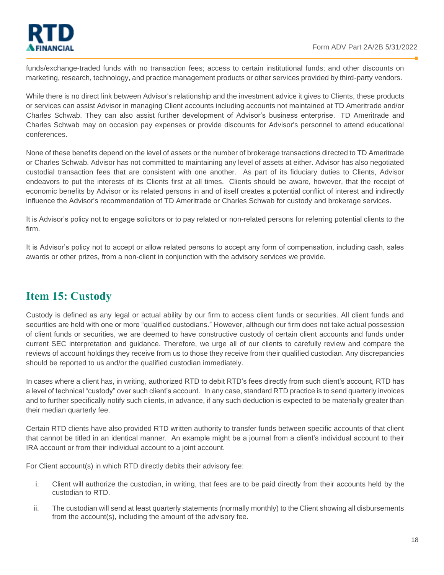funds/exchange-traded funds with no transaction fees; access to certain institutional funds; and other discounts on marketing, research, technology, and practice management products or other services provided by third-party vendors.

While there is no direct link between Advisor's relationship and the investment advice it gives to Clients, these products or services can assist Advisor in managing Client accounts including accounts not maintained at TD Ameritrade and/or Charles Schwab. They can also assist further development of Advisor's business enterprise. TD Ameritrade and Charles Schwab may on occasion pay expenses or provide discounts for Advisor's personnel to attend educational conferences.

None of these benefits depend on the level of assets or the number of brokerage transactions directed to TD Ameritrade or Charles Schwab. Advisor has not committed to maintaining any level of assets at either. Advisor has also negotiated custodial transaction fees that are consistent with one another. As part of its fiduciary duties to Clients, Advisor endeavors to put the interests of its Clients first at all times. Clients should be aware, however, that the receipt of economic benefits by Advisor or its related persons in and of itself creates a potential conflict of interest and indirectly influence the Advisor's recommendation of TD Ameritrade or Charles Schwab for custody and brokerage services.

It is Advisor's policy not to engage solicitors or to pay related or non-related persons for referring potential clients to the firm.

It is Advisor's policy not to accept or allow related persons to accept any form of compensation, including cash, sales awards or other prizes, from a non-client in conjunction with the advisory services we provide.

## **Item 15: Custody**

Custody is defined as any legal or actual ability by our firm to access client funds or securities. All client funds and securities are held with one or more "qualified custodians." However, although our firm does not take actual possession of client funds or securities, we are deemed to have constructive custody of certain client accounts and funds under current SEC interpretation and guidance. Therefore, we urge all of our clients to carefully review and compare the reviews of account holdings they receive from us to those they receive from their qualified custodian. Any discrepancies should be reported to us and/or the qualified custodian immediately.

In cases where a client has, in writing, authorized RTD to debit RTD's fees directly from such client's account, RTD has a level of technical "custody" over such client's account. In any case, standard RTD practice is to send quarterly invoices and to further specifically notify such clients, in advance, if any such deduction is expected to be materially greater than their median quarterly fee.

Certain RTD clients have also provided RTD written authority to transfer funds between specific accounts of that client that cannot be titled in an identical manner. An example might be a journal from a client's individual account to their IRA account or from their individual account to a joint account.

For Client account(s) in which RTD directly debits their advisory fee:

- i. Client will authorize the custodian, in writing, that fees are to be paid directly from their accounts held by the custodian to RTD.
- ii. The custodian will send at least quarterly statements (normally monthly) to the Client showing all disbursements from the account(s), including the amount of the advisory fee.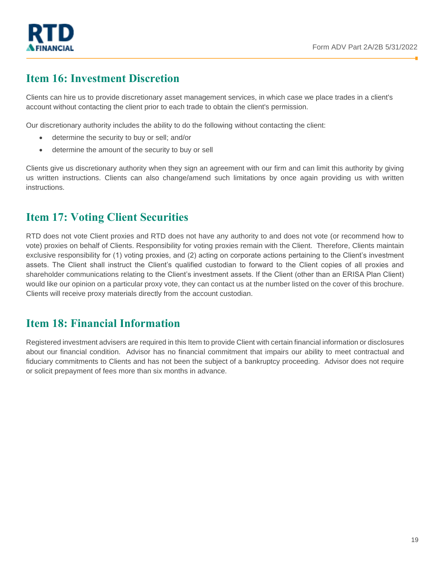## **Item 16: Investment Discretion**

Clients can hire us to provide discretionary asset management services, in which case we place trades in a client's account without contacting the client prior to each trade to obtain the client's permission.

Our discretionary authority includes the ability to do the following without contacting the client:

- determine the security to buy or sell; and/or
- determine the amount of the security to buy or sell

Clients give us discretionary authority when they sign an agreement with our firm and can limit this authority by giving us written instructions. Clients can also change/amend such limitations by once again providing us with written instructions.

## **Item 17: Voting Client Securities**

RTD does not vote Client proxies and RTD does not have any authority to and does not vote (or recommend how to vote) proxies on behalf of Clients. Responsibility for voting proxies remain with the Client. Therefore, Clients maintain exclusive responsibility for (1) voting proxies, and (2) acting on corporate actions pertaining to the Client's investment assets. The Client shall instruct the Client's qualified custodian to forward to the Client copies of all proxies and shareholder communications relating to the Client's investment assets. If the Client (other than an ERISA Plan Client) would like our opinion on a particular proxy vote, they can contact us at the number listed on the cover of this brochure. Clients will receive proxy materials directly from the account custodian.

## **Item 18: Financial Information**

Registered investment advisers are required in this Item to provide Client with certain financial information or disclosures about our financial condition. Advisor has no financial commitment that impairs our ability to meet contractual and fiduciary commitments to Clients and has not been the subject of a bankruptcy proceeding. Advisor does not require or solicit prepayment of fees more than six months in advance.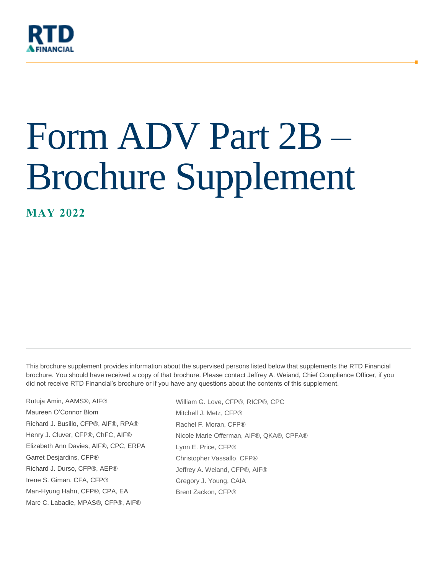

# Form ADV Part 2B – Brochure Supplement

**MAY 2022**

This brochure supplement provides information about the supervised persons listed below that supplements the RTD Financial brochure. You should have received a copy of that brochure. Please contact Jeffrey A. Weiand, Chief Compliance Officer, if you did not receive RTD Financial's brochure or if you have any questions about the contents of this supplement.

Rutuja Amin, AAMS®, AIF® Maureen O'Connor Blom Richard J. Busillo, CFP®, AIF®, RPA® Henry J. Cluver, CFP®, ChFC, AIF® Elizabeth Ann Davies, AIF®, CPC, ERPA Garret Desjardins, CFP® Richard J. Durso, CFP®, AEP® Irene S. Giman, CFA, CFP® Man-Hyung Hahn, CFP®, CPA, EA Marc C. Labadie, MPAS®, CFP®, AIF®

William G. Love, CFP®, RICP®, CPC Mitchell J. Metz, CFP® Rachel F. Moran, CFP® Nicole Marie Offerman, AIF®, QKA®, CPFA® Lynn E. Price, CFP® Christopher Vassallo, CFP® Jeffrey A. Weiand, CFP®, AIF® Gregory J. Young, CAIA Brent Zackon, CFP®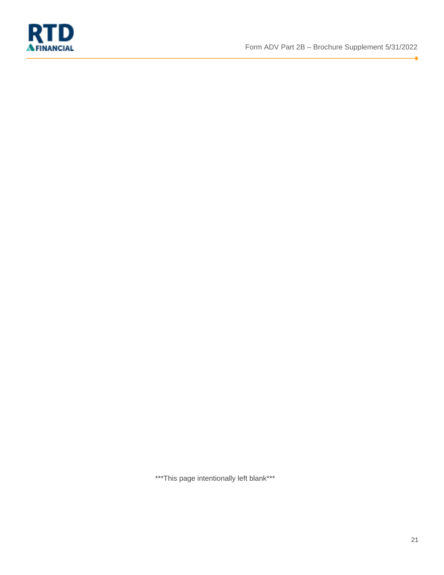

 $\overline{\phantom{0}}$ 

\*\*\*This page intentionally left blank\*\*\*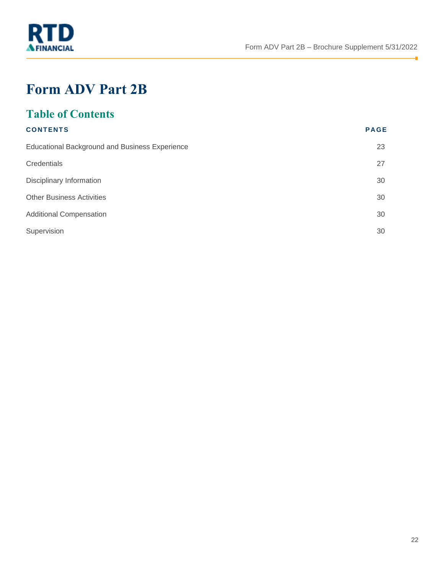

## **Form ADV Part 2B**

## **Table of Contents**

| <b>CONTENTS</b>                                       | <b>PAGE</b> |
|-------------------------------------------------------|-------------|
| <b>Educational Background and Business Experience</b> | 23          |
| Credentials                                           | 27          |
| Disciplinary Information                              | 30          |
| <b>Other Business Activities</b>                      | 30          |
| <b>Additional Compensation</b>                        | 30          |
| Supervision                                           | 30          |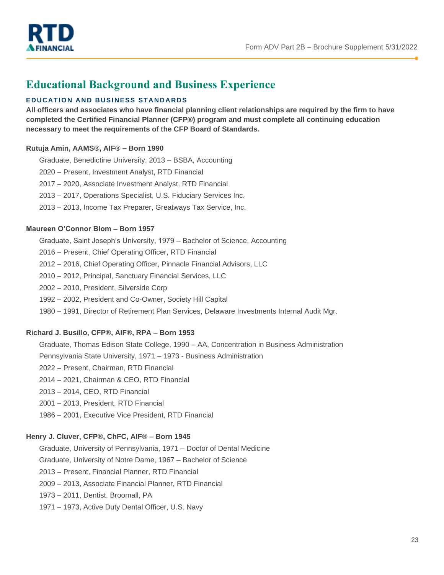

## **Educational Background and Business Experience**

## **EDUCATION AND BUSINESS STANDARDS**

**All officers and associates who have financial planning client relationships are required by the firm to have completed the Certified Financial Planner (CFP®) program and must complete all continuing education necessary to meet the requirements of the CFP Board of Standards.**

## **Rutuja Amin, AAMS®, AIF® – Born 1990**

Graduate, Benedictine University, 2013 – BSBA, Accounting

- 2020 Present, Investment Analyst, RTD Financial
- 2017 2020, Associate Investment Analyst, RTD Financial
- 2013 2017, Operations Specialist, U.S. Fiduciary Services Inc.
- 2013 2013, Income Tax Preparer, Greatways Tax Service, Inc.

## **Maureen O'Connor Blom – Born 1957**

Graduate, Saint Joseph's University, 1979 – Bachelor of Science, Accounting

- 2016 Present, Chief Operating Officer, RTD Financial
- 2012 2016, Chief Operating Officer, Pinnacle Financial Advisors, LLC
- 2010 2012, Principal, Sanctuary Financial Services, LLC
- 2002 2010, President, Silverside Corp
- 1992 2002, President and Co-Owner, Society Hill Capital

1980 – 1991, Director of Retirement Plan Services, Delaware Investments Internal Audit Mgr.

## **Richard J. Busillo, CFP®, AIF®, RPA – Born 1953**

Graduate, Thomas Edison State College, 1990 – AA, Concentration in Business Administration

Pennsylvania State University, 1971 – 1973 - Business Administration

- 2022 Present, Chairman, RTD Financial
- 2014 2021, Chairman & CEO, RTD Financial
- 2013 2014, CEO, RTD Financial
- 2001 2013, President, RTD Financial
- 1986 2001, Executive Vice President, RTD Financial

## **Henry J. Cluver, CFP®, ChFC, AIF® – Born 1945**

Graduate, University of Pennsylvania, 1971 – Doctor of Dental Medicine

Graduate, University of Notre Dame, 1967 – Bachelor of Science

- 2013 Present, Financial Planner, RTD Financial
- 2009 2013, Associate Financial Planner, RTD Financial
- 1973 2011, Dentist, Broomall, PA
- 1971 1973, Active Duty Dental Officer, U.S. Navy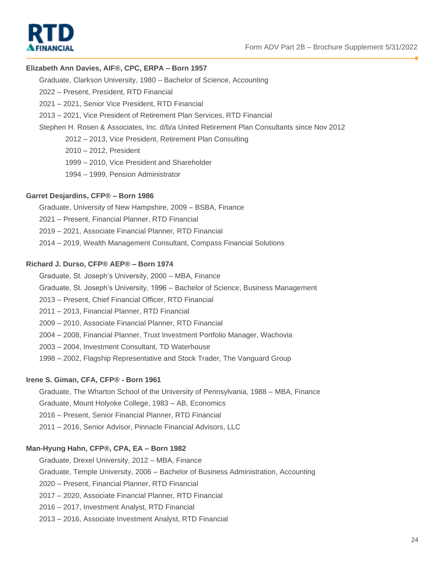## **Elizabeth Ann Davies, AIF®, CPC, ERPA – Born 1957**

Graduate, Clarkson University, 1980 – Bachelor of Science, Accounting

2022 – Present, President, RTD Financial

2021 – 2021, Senior Vice President, RTD Financial

2013 – 2021, Vice President of Retirement Plan Services, RTD Financial

Stephen H. Rosen & Associates, Inc. d/b/a United Retirement Plan Consultants since Nov 2012

2012 – 2013, Vice President, Retirement Plan Consulting

2010 – 2012, President

1999 – 2010, Vice President and Shareholder

1994 – 1999, Pension Administrator

### **Garret Desjardins, CFP® – Born 1986**

Graduate, University of New Hampshire, 2009 – BSBA, Finance

2021 – Present, Financial Planner, RTD Financial

2019 – 2021, Associate Financial Planner, RTD Financial

2014 – 2019, Wealth Management Consultant, Compass Financial Solutions

### **Richard J. Durso, CFP® AEP® – Born 1974**

Graduate, St. Joseph's University, 2000 – MBA, Finance

Graduate, St. Joseph's University, 1996 – Bachelor of Science, Business Management

2013 – Present, Chief Financial Officer, RTD Financial

2011 – 2013, Financial Planner, RTD Financial

2009 – 2010, Associate Financial Planner, RTD Financial

2004 – 2008, Financial Planner, Trust Investment Portfolio Manager, Wachovia

2003 – 2004, Investment Consultant, TD Waterhouse

1998 – 2002, Flagship Representative and Stock Trader, The Vanguard Group

## **Irene S. Giman, CFA, CFP® - Born 1961**

Graduate, The Wharton School of the University of Pennsylvania, 1988 – MBA, Finance Graduate, Mount Holyoke College, 1983 – AB, Economics 2016 – Present, Senior Financial Planner, RTD Financial 2011 – 2016, Senior Advisor, Pinnacle Financial Advisors, LLC

## **Man-Hyung Hahn, CFP®, CPA, EA – Born 1982**

Graduate, Drexel University, 2012 – MBA, Finance Graduate, Temple University, 2006 – Bachelor of Business Administration, Accounting 2020 – Present, Financial Planner, RTD Financial 2017 – 2020, Associate Financial Planner, RTD Financial 2016 – 2017, Investment Analyst, RTD Financial 2013 – 2016, Associate Investment Analyst, RTD Financial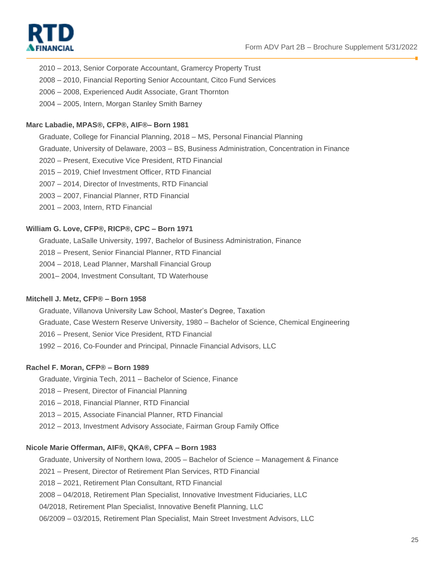

- 2010 2013, Senior Corporate Accountant, Gramercy Property Trust
- 2008 2010, Financial Reporting Senior Accountant, Citco Fund Services
- 2006 2008, Experienced Audit Associate, Grant Thornton
- 2004 2005, Intern, Morgan Stanley Smith Barney

### **Marc Labadie, MPAS®, CFP®, AIF®– Born 1981**

Graduate, College for Financial Planning, 2018 – MS, Personal Financial Planning

Graduate, University of Delaware, 2003 – BS, Business Administration, Concentration in Finance

- 2020 Present, Executive Vice President, RTD Financial
- 2015 2019, Chief Investment Officer, RTD Financial
- 2007 2014, Director of Investments, RTD Financial
- 2003 2007, Financial Planner, RTD Financial
- 2001 2003, Intern, RTD Financial

#### **William G. Love, CFP®, RICP®, CPC – Born 1971**

Graduate, LaSalle University, 1997, Bachelor of Business Administration, Finance 2018 – Present, Senior Financial Planner, RTD Financial 2004 – 2018, Lead Planner, Marshall Financial Group 2001– 2004, Investment Consultant, TD Waterhouse

#### **Mitchell J. Metz, CFP® – Born 1958**

Graduate, Villanova University Law School, Master's Degree, Taxation Graduate, Case Western Reserve University, 1980 – Bachelor of Science, Chemical Engineering 2016 – Present, Senior Vice President, RTD Financial 1992 – 2016, Co-Founder and Principal, Pinnacle Financial Advisors, LLC

## **Rachel F. Moran, CFP® – Born 1989**

Graduate, Virginia Tech, 2011 – Bachelor of Science, Finance 2018 – Present, Director of Financial Planning 2016 – 2018, Financial Planner, RTD Financial 2013 – 2015, Associate Financial Planner, RTD Financial 2012 – 2013, Investment Advisory Associate, Fairman Group Family Office

## **Nicole Marie Offerman, AIF®, QKA®, CPFA – Born 1983**

Graduate, University of Northern Iowa, 2005 – Bachelor of Science – Management & Finance 2021 – Present, Director of Retirement Plan Services, RTD Financial 2018 – 2021, Retirement Plan Consultant, RTD Financial 2008 – 04/2018, Retirement Plan Specialist, Innovative Investment Fiduciaries, LLC 04/2018, Retirement Plan Specialist, Innovative Benefit Planning, LLC 06/2009 – 03/2015, Retirement Plan Specialist, Main Street Investment Advisors, LLC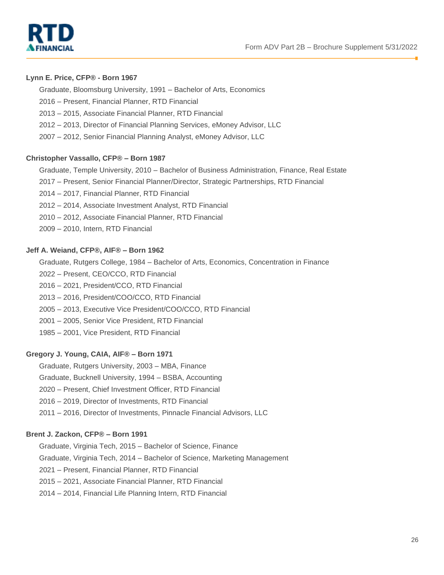#### **Lynn E. Price, CFP® - Born 1967**

Graduate, Bloomsburg University, 1991 – Bachelor of Arts, Economics

2016 – Present, Financial Planner, RTD Financial

- 2013 2015, Associate Financial Planner, RTD Financial
- 2012 2013, Director of Financial Planning Services, eMoney Advisor, LLC
- 2007 2012, Senior Financial Planning Analyst, eMoney Advisor, LLC

#### **Christopher Vassallo, CFP® – Born 1987**

Graduate, Temple University, 2010 – Bachelor of Business Administration, Finance, Real Estate

2017 – Present, Senior Financial Planner/Director, Strategic Partnerships, RTD Financial

- 2014 2017, Financial Planner, RTD Financial
- 2012 2014, Associate Investment Analyst, RTD Financial
- 2010 2012, Associate Financial Planner, RTD Financial
- 2009 2010, Intern, RTD Financial

#### **Jeff A. Weiand, CFP®, AIF® – Born 1962**

Graduate, Rutgers College, 1984 – Bachelor of Arts, Economics, Concentration in Finance

2022 – Present, CEO/CCO, RTD Financial

- 2016 2021, President/CCO, RTD Financial
- 2013 2016, President/COO/CCO, RTD Financial
- 2005 2013, Executive Vice President/COO/CCO, RTD Financial
- 2001 2005, Senior Vice President, RTD Financial
- 1985 2001, Vice President, RTD Financial

#### **Gregory J. Young, CAIA, AIF® – Born 1971**

Graduate, Rutgers University, 2003 – MBA, Finance

- Graduate, Bucknell University, 1994 BSBA, Accounting
- 2020 Present, Chief Investment Officer, RTD Financial
- 2016 2019, Director of Investments, RTD Financial
- 2011 2016, Director of Investments, Pinnacle Financial Advisors, LLC

#### **Brent J. Zackon, CFP® – Born 1991**

Graduate, Virginia Tech, 2015 – Bachelor of Science, Finance

Graduate, Virginia Tech, 2014 – Bachelor of Science, Marketing Management

- 2021 Present, Financial Planner, RTD Financial
- 2015 2021, Associate Financial Planner, RTD Financial
- 2014 2014, Financial Life Planning Intern, RTD Financial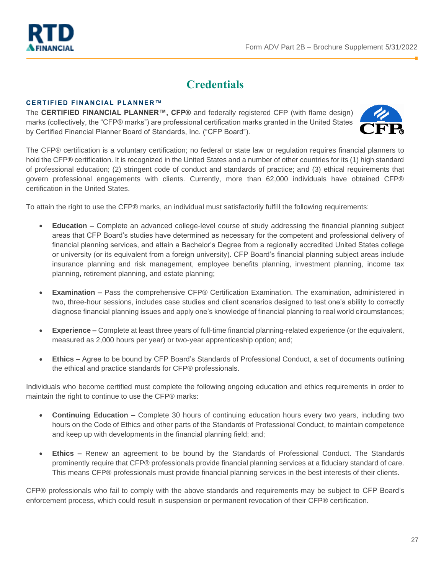

## **Credentials**

#### **CERTIFIED FINANCIAL PLANNER™**

The **CERTIFIED FINANCIAL PLANNER™, CFP®** and federally registered CFP (with flame design) marks (collectively, the "CFP® marks") are professional certification marks granted in the United States by Certified Financial Planner Board of Standards, Inc. ("CFP Board").



The CFP® certification is a voluntary certification; no federal or state law or regulation requires financial planners to hold the CFP® certification. It is recognized in the United States and a number of other countries for its (1) high standard of professional education; (2) stringent code of conduct and standards of practice; and (3) ethical requirements that govern professional engagements with clients. Currently, more than 62,000 individuals have obtained CFP® certification in the United States.

To attain the right to use the CFP® marks, an individual must satisfactorily fulfill the following requirements:

- **Education –** Complete an advanced college-level course of study addressing the financial planning subject areas that CFP Board's studies have determined as necessary for the competent and professional delivery of financial planning services, and attain a Bachelor's Degree from a regionally accredited United States college or university (or its equivalent from a foreign university). CFP Board's financial planning subject areas include insurance planning and risk management, employee benefits planning, investment planning, income tax planning, retirement planning, and estate planning;
- **Examination –** Pass the comprehensive CFP® Certification Examination. The examination, administered in two, three-hour sessions, includes case studies and client scenarios designed to test one's ability to correctly diagnose financial planning issues and apply one's knowledge of financial planning to real world circumstances;
- **Experience –** Complete at least three years of full-time financial planning-related experience (or the equivalent, measured as 2,000 hours per year) or two-year apprenticeship option; and;
- **Ethics –** Agree to be bound by CFP Board's Standards of Professional Conduct, a set of documents outlining the ethical and practice standards for CFP® professionals.

Individuals who become certified must complete the following ongoing education and ethics requirements in order to maintain the right to continue to use the CFP® marks:

- **Continuing Education –** Complete 30 hours of continuing education hours every two years, including two hours on the Code of Ethics and other parts of the Standards of Professional Conduct, to maintain competence and keep up with developments in the financial planning field; and;
- **Ethics –** Renew an agreement to be bound by the Standards of Professional Conduct. The Standards prominently require that CFP® professionals provide financial planning services at a fiduciary standard of care. This means CFP® professionals must provide financial planning services in the best interests of their clients.

CFP® professionals who fail to comply with the above standards and requirements may be subject to CFP Board's enforcement process, which could result in suspension or permanent revocation of their CFP® certification.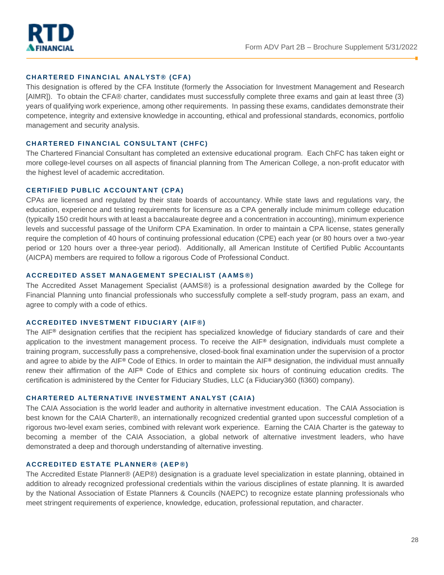

#### **CHARTERED FINANCIAL ANALYST® (CFA)**

This designation is offered by the CFA Institute (formerly the Association for Investment Management and Research [AIMR]). To obtain the CFA® charter, candidates must successfully complete three exams and gain at least three (3) years of qualifying work experience, among other requirements. In passing these exams, candidates demonstrate their competence, integrity and extensive knowledge in accounting, ethical and professional standards, economics, portfolio management and security analysis.

#### **CHARTERED FINANCIAL CONSULTANT (CHFC)**

The Chartered Financial Consultant has completed an extensive educational program. Each ChFC has taken eight or more college-level courses on all aspects of financial planning from The American College, a non-profit educator with the highest level of academic accreditation.

#### **CERTIFIED PUBLIC ACCOUNTANT (CPA)**

CPAs are licensed and regulated by their state boards of accountancy. While state laws and regulations vary, the education, experience and testing requirements for licensure as a CPA generally include minimum college [education](http://www.aicpa.org/Advocacy/State/Pages/150-HourEducationRequirement.aspx) (typically 150 credit hours with at least a baccalaureate degree and a concentration in accounting), minimum experience levels and successful passage of the Uniform CPA Examination. In order to maintain a CPA license, states generally require the completion of 40 hours of continuing professional education (CPE) each year (or 80 hours over a two-year period or 120 hours over a three-year period). Additionally, all American Institute of Certified Public Accountants (AICPA) members are required to follow a rigorous Code of Professional Conduct.

#### **AC CR ED ITE D AS SET M AN AG EM E NT SP ECI A LIST (A AM S ®)**

The Accredited Asset Management Specialist (AAMS®) is a professional designation awarded by the College for Financial Planning unto financial professionals who successfully complete a self-study program, pass an exam, and agree to comply with a code of ethics.

#### **AC CR ED ITE D I NV ES T M ENT FID U CI AR Y ( AIF ®)**

The AIF® designation certifies that the recipient has specialized knowledge of fiduciary standards of care and their application to the investment management process. To receive the AIF® designation, individuals must complete a training program, successfully pass a comprehensive, closed-book final examination under the supervision of a proctor and agree to abide by the AIF® Code of Ethics. In order to maintain the AIF® designation, the individual must annually renew their affirmation of the AIF® Code of Ethics and complete six hours of continuing education credits. The certification is administered by the Center for Fiduciary Studies, LLC (a Fiduciary360 (fi360) company).

#### **CHARTERED ALTERNATIVE INVESTMENT ANALYST (CAIA)**

The CAIA Association is the world leader and authority in alternative investment education. The CAIA Association is best known for the CAIA Charter®, an internationally recognized credential granted upon successful completion of a rigorous two-level exam series, combined with relevant work experience. Earning the CAIA Charter is the gateway to becoming a member of the CAIA Association, a global network of alternative investment leaders, who have demonstrated a deep and thorough understanding of alternative investing.

## **AC CR ED ITE D EST AT E PLA NN ER ® (A EP ®)**

The Accredited Estate Planner® (AEP®) designation is a graduate level specialization in estate planning, obtained in addition to already recognized professional credentials within the various disciplines of estate planning. It is awarded by the National Association of Estate Planners & Councils (NAEPC) to recognize estate planning professionals who meet stringent requirements of experience, knowledge, education, professional reputation, and character.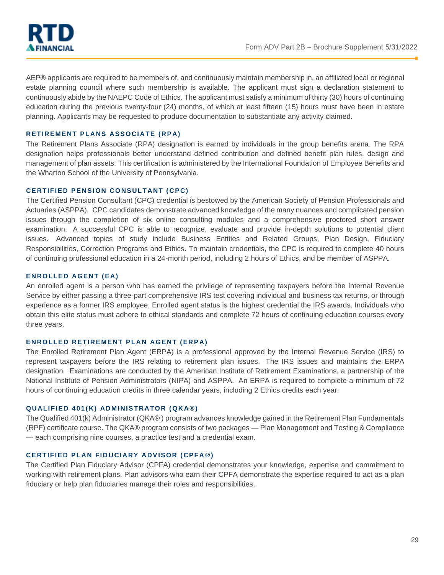

AEP® applicants are required to be members of, and continuously maintain membership in, an affiliated local or regional estate planning council where such membership is available. The applicant must sign a declaration statement to continuously abide by the NAEPC Code of Ethics. The applicant must satisfy a minimum of thirty (30) hours of continuing education during the previous twenty-four (24) months, of which at least fifteen (15) hours must have been in estate planning. Applicants may be requested to produce documentation to substantiate any activity claimed.

#### **RETIREMENT PLANS ASSOCIATE (RPA)**

The Retirement Plans Associate (RPA) designation is earned by individuals in the group benefits arena. The RPA designation helps professionals better understand defined contribution and defined benefit plan rules, design and management of plan assets. This certification is administered by the International Foundation of Employee Benefits and the Wharton School of the University of Pennsylvania.

#### **CERTIFIED PENSION CONSULTANT (CPC)**

The Certified Pension Consultant (CPC) credential is bestowed by the American Society of Pension Professionals and Actuaries (ASPPA). CPC candidates demonstrate advanced knowledge of the many nuances and complicated pension issues through the completion of six online consulting modules and a comprehensive proctored short answer examination. A successful CPC is able to recognize, evaluate and provide in-depth solutions to potential client issues. Advanced topics of study include Business Entities and Related Groups, Plan Design, Fiduciary Responsibilities, Correction Programs and Ethics. To maintain credentials, the CPC is required to complete 40 hours of continuing professional education in a 24-month period, including 2 hours of Ethics, and be member of ASPPA.

#### **ENROLLED AGENT (EA)**

An enrolled agent is a person who has earned the privilege of representing taxpayers before the Internal Revenue Service by either passing a three-part comprehensive IRS test covering individual and business tax returns, or through experience as a former IRS employee. Enrolled agent status is the highest credential the IRS awards. Individuals who obtain this elite status must adhere to ethical standards and complete 72 hours of continuing education courses every three years.

#### **ENROLLED RETIREMENT PLAN AGENT (ERPA)**

The Enrolled Retirement Plan Agent (ERPA) is a professional approved by the Internal Revenue Service (IRS) to represent taxpayers before the IRS relating to retirement plan issues. The IRS issues and maintains the ERPA designation. Examinations are conducted by the American Institute of Retirement Examinations, a partnership of the National Institute of Pension Administrators (NIPA) and ASPPA. An ERPA is required to complete a minimum of 72 hours of continuing education credits in three calendar years, including 2 Ethics credits each year.

#### **QU ALI FIE D 40 1 ( K) AD M INIS TR AT OR ( QK A ®)**

The Qualified 401(k) Administrator (QKA® ) program advances knowledge gained in the Retirement Plan Fundamentals (RPF) certificate course. The QKA® program consists of two packages — Plan Management and Testing & Compliance — each comprising nine courses, a practice test and a credential exam.

### **CE RTIF IE D P LA N FI D U CIA RY A DV IS OR ( CPF A ®)**

The Certified Plan Fiduciary Advisor (CPFA) credential demonstrates your knowledge, expertise and commitment to working with retirement plans. Plan advisors who earn their CPFA demonstrate the expertise required to act as a plan fiduciary or help plan fiduciaries manage their roles and responsibilities.